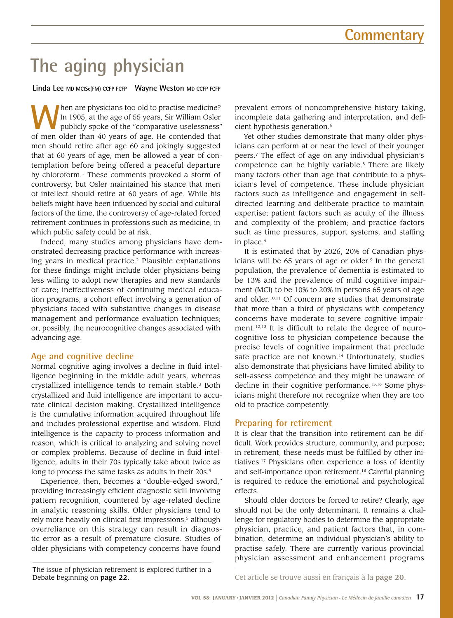# **The aging physician**

**Linda Lee MD MClSc(FM) CCFP FCFP Wayne Weston MD CCFP FCFP**

**When are physicians too old to practise medicine?**<br>
In 1905, at the age of 55 years, Sir William Osler<br>
publicly spoke of the "comparative uselessness"<br>
of man older than 40 years of age. He contended that In 1905, at the age of 55 years, Sir William Osler of men older than 40 years of age. He contended that men should retire after age 60 and jokingly suggested that at 60 years of age, men be allowed a year of contemplation before being offered a peaceful departure by chloroform.1 These comments provoked a storm of controversy, but Osler maintained his stance that men of intellect should retire at 60 years of age. While his beliefs might have been influenced by social and cultural factors of the time, the controversy of age-related forced retirement continues in professions such as medicine, in which public safety could be at risk.

Indeed, many studies among physicians have demonstrated decreasing practice performance with increasing years in medical practice.<sup>2</sup> Plausible explanations for these findings might include older physicians being less willing to adopt new therapies and new standards of care; ineffectiveness of continuing medical education programs; a cohort effect involving a generation of physicians faced with substantive changes in disease management and performance evaluation techniques; or, possibly, the neurocognitive changes associated with advancing age.

## **Age and cognitive decline**

Normal cognitive aging involves a decline in fluid intelligence beginning in the middle adult years, whereas crystallized intelligence tends to remain stable.3 Both crystallized and fluid intelligence are important to accurate clinical decision making. Crystallized intelligence is the cumulative information acquired throughout life and includes professional expertise and wisdom. Fluid intelligence is the capacity to process information and reason, which is critical to analyzing and solving novel or complex problems. Because of decline in fluid intelligence, adults in their 70s typically take about twice as long to process the same tasks as adults in their 20s.<sup>4</sup>

Experience, then, becomes a "double-edged sword," providing increasingly efficient diagnostic skill involving pattern recognition, countered by age-related decline in analytic reasoning skills. Older physicians tend to rely more heavily on clinical first impressions,<sup>5</sup> although overreliance on this strategy can result in diagnostic error as a result of premature closure. Studies of older physicians with competency concerns have found

The issue of physician retirement is explored further in a Debate beginning on page 22. Cet article se trouve aussi en français à la page 20.

prevalent errors of noncomprehensive history taking, incomplete data gathering and interpretation, and deficient hypothesis generation.<sup>6</sup>

Yet other studies demonstrate that many older physicians can perform at or near the level of their younger peers.7 The effect of age on any individual physician's competence can be highly variable.<sup>8</sup> There are likely many factors other than age that contribute to a physician's level of competence. These include physician factors such as intelligence and engagement in selfdirected learning and deliberate practice to maintain expertise; patient factors such as acuity of the illness and complexity of the problem; and practice factors such as time pressures, support systems, and staffing in place.4

It is estimated that by 2026, 20% of Canadian physicians will be 65 years of age or older. $9$  In the general population, the prevalence of dementia is estimated to be 13% and the prevalence of mild cognitive impairment (MCI) to be 10% to 20% in persons 65 years of age and older.10,11 Of concern are studies that demonstrate that more than a third of physicians with competency concerns have moderate to severe cognitive impairment.12,13 It is difficult to relate the degree of neurocognitive loss to physician competence because the precise levels of cognitive impairment that preclude safe practice are not known.<sup>14</sup> Unfortunately, studies also demonstrate that physicians have limited ability to self-assess competence and they might be unaware of decline in their cognitive performance.<sup>15,16</sup> Some physicians might therefore not recognize when they are too old to practice competently.

## **Preparing for retirement**

It is clear that the transition into retirement can be difficult. Work provides structure, community, and purpose; in retirement, these needs must be fulfilled by other initiatives.17 Physicians often experience a loss of identity and self-importance upon retirement.18 Careful planning is required to reduce the emotional and psychological effects.

Should older doctors be forced to retire? Clearly, age should not be the only determinant. It remains a challenge for regulatory bodies to determine the appropriate physician, practice, and patient factors that, in combination, determine an individual physician's ability to practise safely. There are currently various provincial physician assessment and enhancement programs